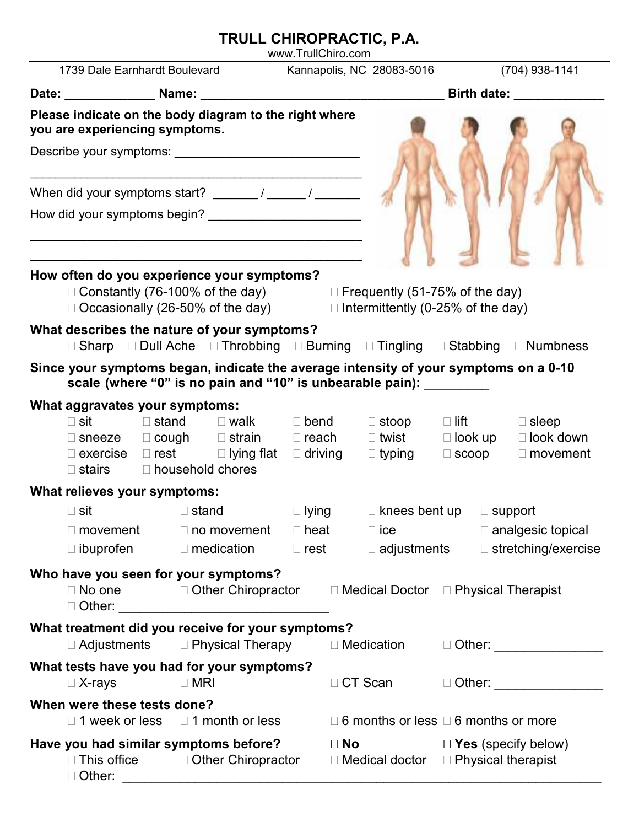## **TRULL CHIROPRACTIC, P.A.**

www.TrullChiro.com

|                                                                                                                                          | 1739 Dale Earnhardt Boulevard                                                                                                                          |  |                  |                                                                                                                      |                             |                    | Kannapolis, NC 28083-5016                                           |                                                                                                                                                                                                                                     | (704) 938-1141                                                                                                                                                                                                                 |
|------------------------------------------------------------------------------------------------------------------------------------------|--------------------------------------------------------------------------------------------------------------------------------------------------------|--|------------------|----------------------------------------------------------------------------------------------------------------------|-----------------------------|--------------------|---------------------------------------------------------------------|-------------------------------------------------------------------------------------------------------------------------------------------------------------------------------------------------------------------------------------|--------------------------------------------------------------------------------------------------------------------------------------------------------------------------------------------------------------------------------|
|                                                                                                                                          |                                                                                                                                                        |  |                  |                                                                                                                      |                             | <b>Birth date:</b> |                                                                     |                                                                                                                                                                                                                                     |                                                                                                                                                                                                                                |
|                                                                                                                                          | Please indicate on the body diagram to the right where<br>you are experiencing symptoms.                                                               |  |                  |                                                                                                                      |                             |                    |                                                                     |                                                                                                                                                                                                                                     |                                                                                                                                                                                                                                |
|                                                                                                                                          |                                                                                                                                                        |  |                  | <u> 1950 - Paris Alexandria, poeta e poeta estadounidense e a contineira de la provincia de la provincia de la p</u> |                             |                    |                                                                     |                                                                                                                                                                                                                                     |                                                                                                                                                                                                                                |
|                                                                                                                                          |                                                                                                                                                        |  |                  |                                                                                                                      |                             |                    |                                                                     |                                                                                                                                                                                                                                     |                                                                                                                                                                                                                                |
|                                                                                                                                          |                                                                                                                                                        |  |                  |                                                                                                                      |                             |                    |                                                                     |                                                                                                                                                                                                                                     |                                                                                                                                                                                                                                |
|                                                                                                                                          | How often do you experience your symptoms?<br>Constantly (76-100% of the day)<br>Occasionally (26-50% of the day)                                      |  |                  |                                                                                                                      |                             |                    | Frequently (51-75% of the day)<br>Intermittently (0-25% of the day) |                                                                                                                                                                                                                                     |                                                                                                                                                                                                                                |
|                                                                                                                                          | What describes the nature of your symptoms?<br>Sharp                                                                                                   |  |                  |                                                                                                                      |                             |                    | Dull Ache Throbbing Burning Tingling Stabbing                       |                                                                                                                                                                                                                                     | <b>Numbness</b>                                                                                                                                                                                                                |
|                                                                                                                                          | scale (where "0" is no pain and "10" is unbearable pain): __________                                                                                   |  |                  |                                                                                                                      |                             |                    |                                                                     |                                                                                                                                                                                                                                     | Since your symptoms began, indicate the average intensity of your symptoms on a 0-10                                                                                                                                           |
|                                                                                                                                          | What aggravates your symptoms:                                                                                                                         |  |                  |                                                                                                                      |                             |                    |                                                                     |                                                                                                                                                                                                                                     |                                                                                                                                                                                                                                |
|                                                                                                                                          | sit                                                                                                                                                    |  |                  | stand walk                                                                                                           | bend                        |                    | stoop                                                               | <b>lift</b> and the state of the state of the state of the state of the state of the state of the state of the state of the state of the state of the state of the state of the state of the state of the state of the state of the | sleep                                                                                                                                                                                                                          |
|                                                                                                                                          | sneeze cough strain<br>exercise                                                                                                                        |  |                  |                                                                                                                      | reach                       |                    | twist<br>rest lying flat driving typing                             | look up<br>scoop                                                                                                                                                                                                                    | look down<br>movement                                                                                                                                                                                                          |
|                                                                                                                                          | stairs                                                                                                                                                 |  | household chores |                                                                                                                      |                             |                    |                                                                     |                                                                                                                                                                                                                                     |                                                                                                                                                                                                                                |
|                                                                                                                                          | What relieves your symptoms:                                                                                                                           |  |                  |                                                                                                                      |                             |                    |                                                                     |                                                                                                                                                                                                                                     |                                                                                                                                                                                                                                |
|                                                                                                                                          | sit                                                                                                                                                    |  | stand            |                                                                                                                      |                             |                    | lying knees bent up support                                         |                                                                                                                                                                                                                                     |                                                                                                                                                                                                                                |
|                                                                                                                                          | movement no movement                                                                                                                                   |  |                  |                                                                                                                      |                             | heat               |                                                                     |                                                                                                                                                                                                                                     | ice analgesic topical                                                                                                                                                                                                          |
|                                                                                                                                          | ibuprofen                                                                                                                                              |  | medication       |                                                                                                                      | rest                        |                    | adjustments                                                         |                                                                                                                                                                                                                                     | stretching/exercise                                                                                                                                                                                                            |
|                                                                                                                                          | Who have you seen for your symptoms?<br>No one was a series on the series of the series of the series of the series of the series of the series of the |  |                  | <b>Other Chiropractor</b>                                                                                            |                             |                    | <b>Medical Doctor</b>                                               |                                                                                                                                                                                                                                     | <b>Physical Therapist</b>                                                                                                                                                                                                      |
|                                                                                                                                          | What treatment did you receive for your symptoms?<br>Adjustments                                                                                       |  |                  | <b>Physical Therapy</b>                                                                                              |                             |                    | Medication                                                          |                                                                                                                                                                                                                                     | Other: and the control of the control of the control of the control of the control of the control of the control of the control of the control of the control of the control of the control of the control of the control of t |
|                                                                                                                                          | What tests have you had for your symptoms?<br>X-rays                                                                                                   |  | <b>MRI</b>       |                                                                                                                      |                             | CT Scan            |                                                                     |                                                                                                                                                                                                                                     | Other: _________________                                                                                                                                                                                                       |
|                                                                                                                                          | When were these tests done?                                                                                                                            |  |                  |                                                                                                                      |                             |                    |                                                                     |                                                                                                                                                                                                                                     |                                                                                                                                                                                                                                |
| 1 month or less<br>1 week or less                                                                                                        |                                                                                                                                                        |  |                  |                                                                                                                      | 6 months or less            |                    | 6 months or more                                                    |                                                                                                                                                                                                                                     |                                                                                                                                                                                                                                |
| Have you had similar symptoms before?<br>This office <b>Other Chiropractor</b><br>Other:<br><u> 1980 - Jan Barat, martin amerikan ba</u> |                                                                                                                                                        |  |                  |                                                                                                                      | <b>No</b><br>Medical doctor |                    |                                                                     | Yes (specify below)<br>Physical therapist                                                                                                                                                                                           |                                                                                                                                                                                                                                |